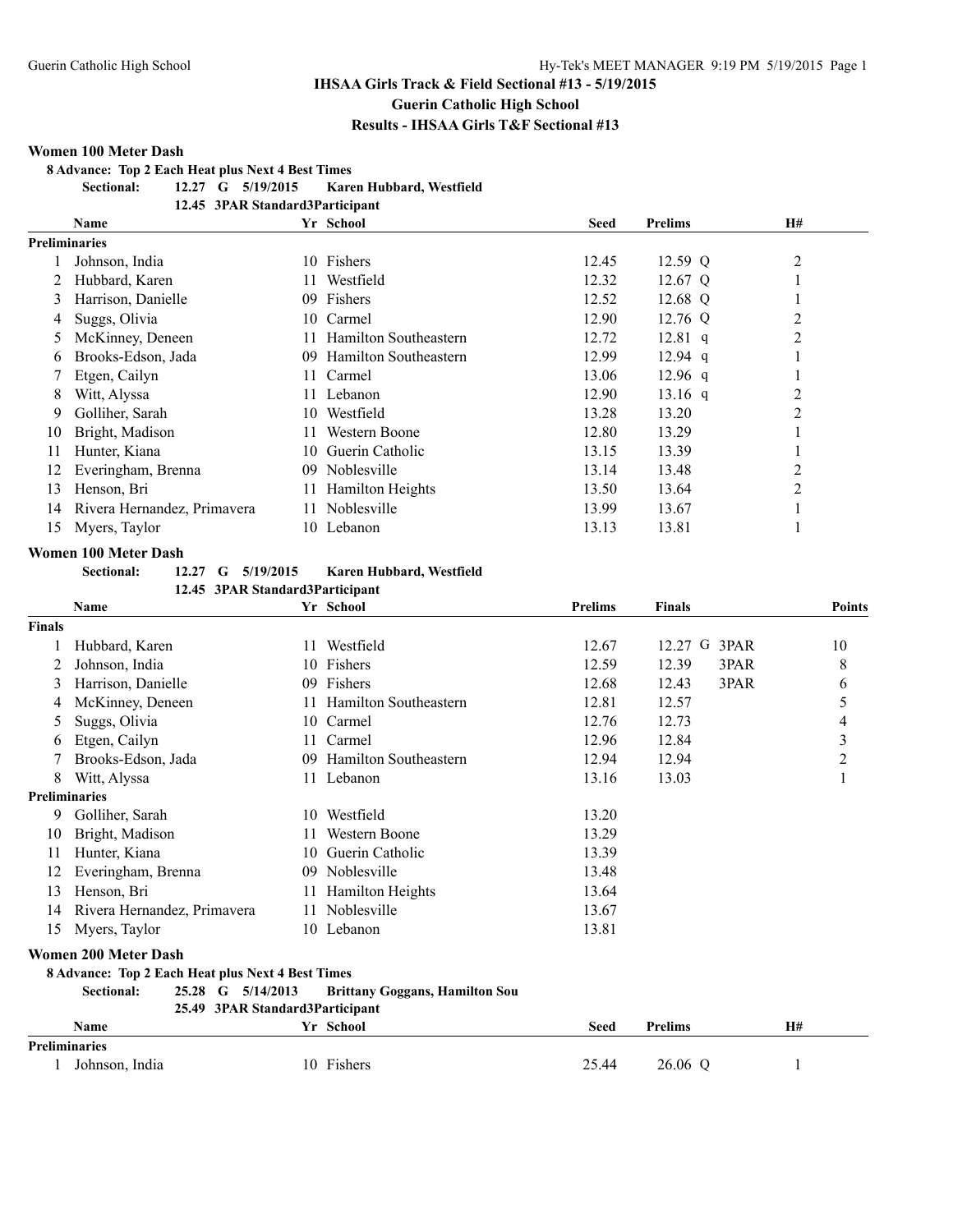## **IHSAA Girls Track & Field Sectional #13 - 5/19/2015**

**Guerin Catholic High School**

**Results - IHSAA Girls T&F Sectional #13**

#### **Women 100 Meter Dash**

**8 Advance: Top 2 Each Heat plus Next 4 Best Times**

**Sectional: 12.27 G 5/19/2015 Karen Hubbard, Westfield**

**12.45 3PAR Standard3Participant**

|                      | Name                        |        | Yr School                    | <b>Seed</b> | <b>Prelims</b> | <b>H#</b>      |  |
|----------------------|-----------------------------|--------|------------------------------|-------------|----------------|----------------|--|
| <b>Preliminaries</b> |                             |        |                              |             |                |                |  |
|                      | Johnson, India              | 10.    | Fishers                      | 12.45       | $12.59$ Q      | 2              |  |
|                      | Hubbard, Karen              | 11.    | Westfield                    | 12.32       | 12.67 Q        |                |  |
| 3                    | Harrison, Danielle          | 09.    | Fishers                      | 12.52       | 12.68 Q        |                |  |
| 4                    | Suggs, Olivia               | 10-    | Carmel                       | 12.90       | $12.76$ Q      | 2              |  |
| 5                    | McKinney, Deneen            | 11.    | Hamilton Southeastern        | 12.72       | $12.81$ q      | $\overline{2}$ |  |
| 6                    | Brooks-Edson, Jada          | $09 -$ | <b>Hamilton Southeastern</b> | 12.99       | $12.94$ q      |                |  |
|                      | Etgen, Cailyn               | 11.    | Carmel                       | 13.06       | $12.96$ q      |                |  |
| 8                    | Witt, Alyssa                | 11.    | Lebanon                      | 12.90       | $13.16$ q      | 2              |  |
| 9                    | Golliher, Sarah             | 10     | Westfield                    | 13.28       | 13.20          | $\overline{2}$ |  |
| 10                   | Bright, Madison             | 11     | Western Boone                | 12.80       | 13.29          |                |  |
| 11                   | Hunter, Kiana               | 10.    | Guerin Catholic              | 13.15       | 13.39          |                |  |
| 12                   | Everingham, Brenna          | 09.    | Noblesville                  | 13.14       | 13.48          | $\overline{2}$ |  |
| 13                   | Henson, Bri                 | 11.    | <b>Hamilton Heights</b>      | 13.50       | 13.64          | $\overline{2}$ |  |
| 14                   | Rivera Hernandez, Primavera | 11     | Noblesville                  | 13.99       | 13.67          |                |  |
| 15                   | Myers, Taylor               |        | 10 Lebanon                   | 13.13       | 13.81          |                |  |

#### **Women 100 Meter Dash**

**Sectional: 12.27 G 5/19/2015 Karen Hubbard, Westfield**

|                      | 12.45 3PAR Standard3Participant                          |     |                                       |                |                |                         |  |  |
|----------------------|----------------------------------------------------------|-----|---------------------------------------|----------------|----------------|-------------------------|--|--|
|                      | <b>Name</b>                                              |     | Yr School                             | <b>Prelims</b> | <b>Finals</b>  | <b>Points</b>           |  |  |
| <b>Finals</b>        |                                                          |     |                                       |                |                |                         |  |  |
|                      | Hubbard, Karen                                           | 11  | Westfield                             | 12.67          | 12.27 G 3PAR   | 10                      |  |  |
|                      | Johnson, India                                           | 10  | Fishers                               | 12.59          | 3PAR<br>12.39  | 8                       |  |  |
| 3                    | Harrison, Danielle                                       | 09. | Fishers                               | 12.68          | 3PAR<br>12.43  | 6                       |  |  |
| 4                    | McKinney, Deneen                                         | 11  | <b>Hamilton Southeastern</b>          | 12.81          | 12.57          | 5                       |  |  |
| 5                    | Suggs, Olivia                                            | 10  | Carmel                                | 12.76          | 12.73          | 4                       |  |  |
| $\mathbf b$          | Etgen, Cailyn                                            | 11. | Carmel                                | 12.96          | 12.84          | $\overline{\mathbf{3}}$ |  |  |
|                      | Brooks-Edson, Jada                                       | 09  | Hamilton Southeastern                 | 12.94          | 12.94          | $\overline{2}$          |  |  |
| 8                    | Witt, Alyssa                                             |     | 11 Lebanon                            | 13.16          | 13.03          | $\mathbf{1}$            |  |  |
| <b>Preliminaries</b> |                                                          |     |                                       |                |                |                         |  |  |
| 9                    | Golliher, Sarah                                          |     | 10 Westfield                          | 13.20          |                |                         |  |  |
| 10                   | Bright, Madison                                          |     | Western Boone                         | 13.29          |                |                         |  |  |
| 11                   | Hunter, Kiana                                            | 10  | Guerin Catholic                       | 13.39          |                |                         |  |  |
| 12                   | Everingham, Brenna                                       | 09  | Noblesville                           | 13.48          |                |                         |  |  |
| 13                   | Henson, Bri                                              | 11  | Hamilton Heights                      | 13.64          |                |                         |  |  |
| 14                   | Rivera Hernandez, Primavera                              | 11  | Noblesville                           | 13.67          |                |                         |  |  |
| 15                   | Myers, Taylor                                            |     | 10 Lebanon                            | 13.81          |                |                         |  |  |
|                      | <b>Women 200 Meter Dash</b>                              |     |                                       |                |                |                         |  |  |
|                      | <b>8 Advance: Top 2 Each Heat plus Next 4 Best Times</b> |     |                                       |                |                |                         |  |  |
|                      | $25.28 \quad G$<br>5/14/2013<br><b>Sectional:</b>        |     | <b>Brittany Goggans, Hamilton Sou</b> |                |                |                         |  |  |
|                      | 25.49 3PAR Standard3Participant                          |     |                                       |                |                |                         |  |  |
|                      | <b>Name</b>                                              |     | Yr School                             | <b>Seed</b>    | <b>Prelims</b> | <b>H#</b>               |  |  |
| <b>Preliminaries</b> |                                                          |     |                                       |                |                |                         |  |  |
|                      | Johnson, India                                           |     | 10 Fishers                            | 25.44          | 26.06 Q        |                         |  |  |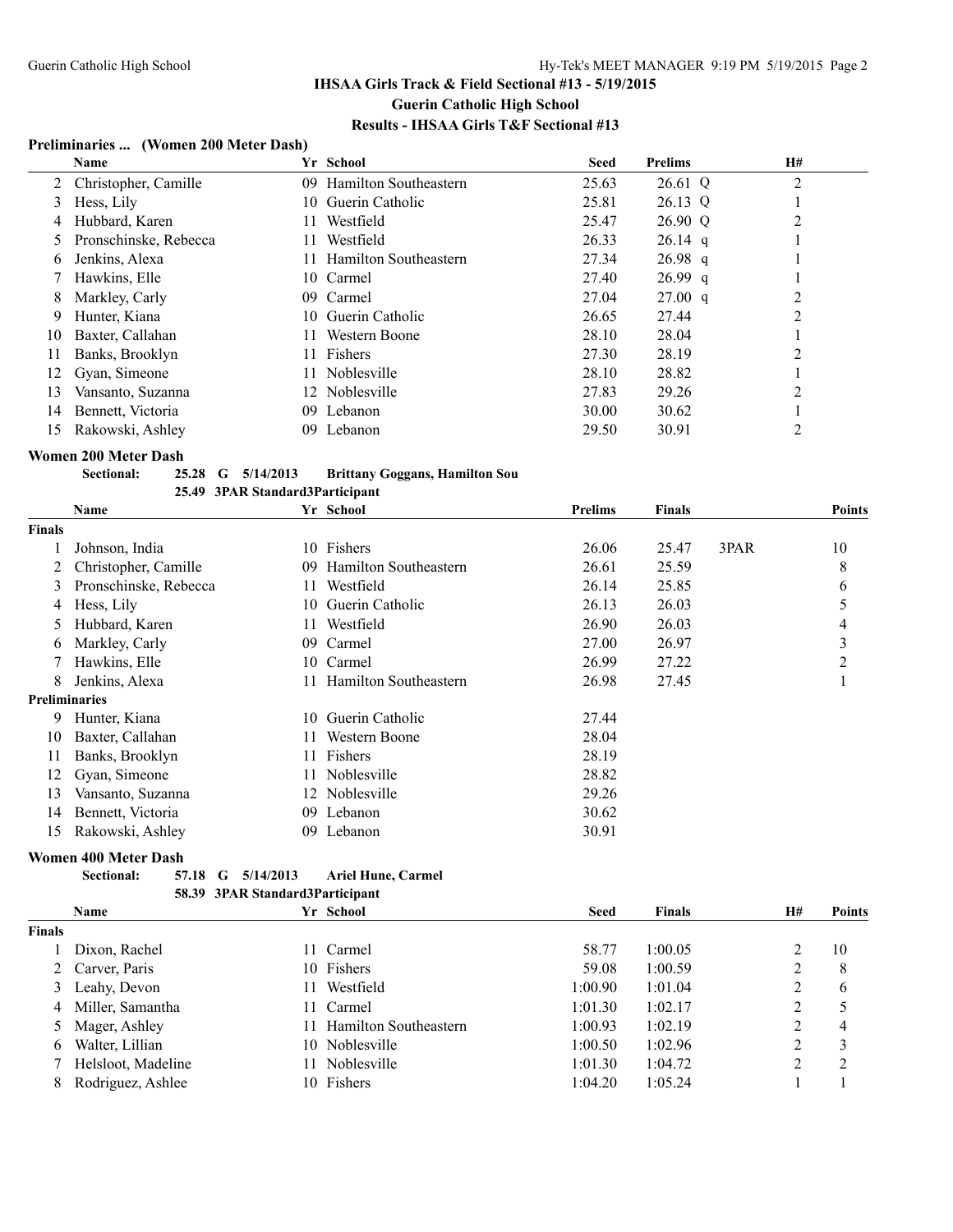## **Preliminaries ... (Women 200 Meter Dash)**

|    | Name                   |         | Yr School                    | <b>Seed</b> | <b>Prelims</b> | <b>H#</b>      |
|----|------------------------|---------|------------------------------|-------------|----------------|----------------|
|    | 2 Christopher, Camille | $09-1$  | <b>Hamilton Southeastern</b> | 25.63       | 26.61 Q        | 2              |
| 3  | Hess, Lily             |         | 10 Guerin Catholic           | 25.81       | 26.13 Q        |                |
| 4  | Hubbard, Karen         | 11.     | Westfield                    | 25.47       | 26.90 Q        | 2              |
| 5  | Pronschinske, Rebecca  | 11.     | Westfield                    | 26.33       | $26.14$ q      |                |
| 6  | Jenkins, Alexa         | 11.     | Hamilton Southeastern        | 27.34       | $26.98$ q      |                |
|    | Hawkins, Elle          |         | 10 Carmel                    | 27.40       | $26.99$ q      |                |
| 8  | Markley, Carly         |         | 09 Carmel                    | 27.04       | 27.00 q        | 2              |
| 9  | Hunter, Kiana          |         | 10 Guerin Catholic           | 26.65       | 27.44          | 2              |
| 10 | Baxter, Callahan       | 11.     | Western Boone                | 28.10       | 28.04          |                |
| 11 | Banks, Brooklyn        | 11.     | Fishers                      | 27.30       | 28.19          | 2              |
| 12 | Gyan, Simeone          | 11.     | Noblesville                  | 28.10       | 28.82          |                |
| 13 | Vansanto, Suzanna      |         | 12 Noblesville               | 27.83       | 29.26          | $\overline{c}$ |
| 14 | Bennett, Victoria      | $^{09}$ | Lebanon                      | 30.00       | 30.62          |                |
| 15 | Rakowski, Ashley       | 09      | Lebanon                      | 29.50       | 30.91          |                |

#### **Women 200 Meter Dash**

**Sectional: 25.28 G 5/14/2013 Brittany Goggans, Hamilton Sou**

|                      | 25.49 3PAR Standard3Participant |    |                              |                |               |      |               |
|----------------------|---------------------------------|----|------------------------------|----------------|---------------|------|---------------|
|                      | Name                            |    | Yr School                    | <b>Prelims</b> | <b>Finals</b> |      | <b>Points</b> |
| <b>Finals</b>        |                                 |    |                              |                |               |      |               |
|                      | Johnson, India                  | 10 | Fishers                      | 26.06          | 25.47         | 3PAR | 10            |
|                      | Christopher, Camille            | 09 | <b>Hamilton Southeastern</b> | 26.61          | 25.59         |      | 8             |
| 3                    | Pronschinske, Rebecca           |    | Westfield                    | 26.14          | 25.85         |      | 6             |
| 4                    | Hess, Lily                      | 10 | Guerin Catholic              | 26.13          | 26.03         |      | 5             |
| 5                    | Hubbard, Karen                  | 11 | Westfield                    | 26.90          | 26.03         |      | 4             |
| 6                    | Markley, Carly                  | 09 | Carmel                       | 27.00          | 26.97         |      | 3             |
|                      | Hawkins, Elle                   | 10 | Carmel                       | 26.99          | 27.22         |      | 2             |
| 8                    | Jenkins, Alexa                  |    | <b>Hamilton Southeastern</b> | 26.98          | 27.45         |      |               |
| <b>Preliminaries</b> |                                 |    |                              |                |               |      |               |
| 9                    | Hunter, Kiana                   | 10 | Guerin Catholic              | 27.44          |               |      |               |
| 10                   | Baxter, Callahan                |    | Western Boone                | 28.04          |               |      |               |
| 11                   | Banks, Brooklyn                 |    | Fishers                      | 28.19          |               |      |               |
| 12                   | Gyan, Simeone                   |    | Noblesville                  | 28.82          |               |      |               |
| 13                   | Vansanto, Suzanna               | 12 | Noblesville                  | 29.26          |               |      |               |
| 14                   | Bennett, Victoria               | 09 | Lebanon                      | 30.62          |               |      |               |
| 15                   | Rakowski, Ashley                | 09 | Lebanon                      | 30.91          |               |      |               |

## **Women 400 Meter Dash**

| Sectional: |  | 57.18 G 5/14/2013               | <b>Ariel Hune, Carmel</b> |
|------------|--|---------------------------------|---------------------------|
|            |  | 58.39 3PAR Standard3Participant |                           |

|        | <b>Name</b>        |    | Yr School                    | <b>Seed</b> | <b>Finals</b> | H# | <b>Points</b>  |
|--------|--------------------|----|------------------------------|-------------|---------------|----|----------------|
| Finals |                    |    |                              |             |               |    |                |
|        | Dixon, Rachel      |    | 11 Carmel                    | 58.77       | 1:00.05       |    | 10             |
|        | Carver, Paris      |    | 10 Fishers                   | 59.08       | 1:00.59       | 2  | 8              |
| 3      | Leahy, Devon       | H. | Westfield                    | 1:00.90     | 1:01.04       | 2  | 6              |
| 4      | Miller, Samantha   |    | 11 Carmel                    | 1:01.30     | 1:02.17       | 2  |                |
|        | 5 Mager, Ashley    |    | <b>Hamilton Southeastern</b> | 1:00.93     | 1:02.19       | 2  | 4              |
| 6      | Walter, Lillian    |    | 10 Noblesville               | 1:00.50     | 1:02.96       | 2  | 3              |
|        | Helsloot, Madeline |    | Noblesville                  | 1:01.30     | 1:04.72       | 2  | $\overline{2}$ |
| 8      | Rodriguez, Ashlee  |    | 10 Fishers                   | 1:04.20     | 1:05.24       |    |                |
|        |                    |    |                              |             |               |    |                |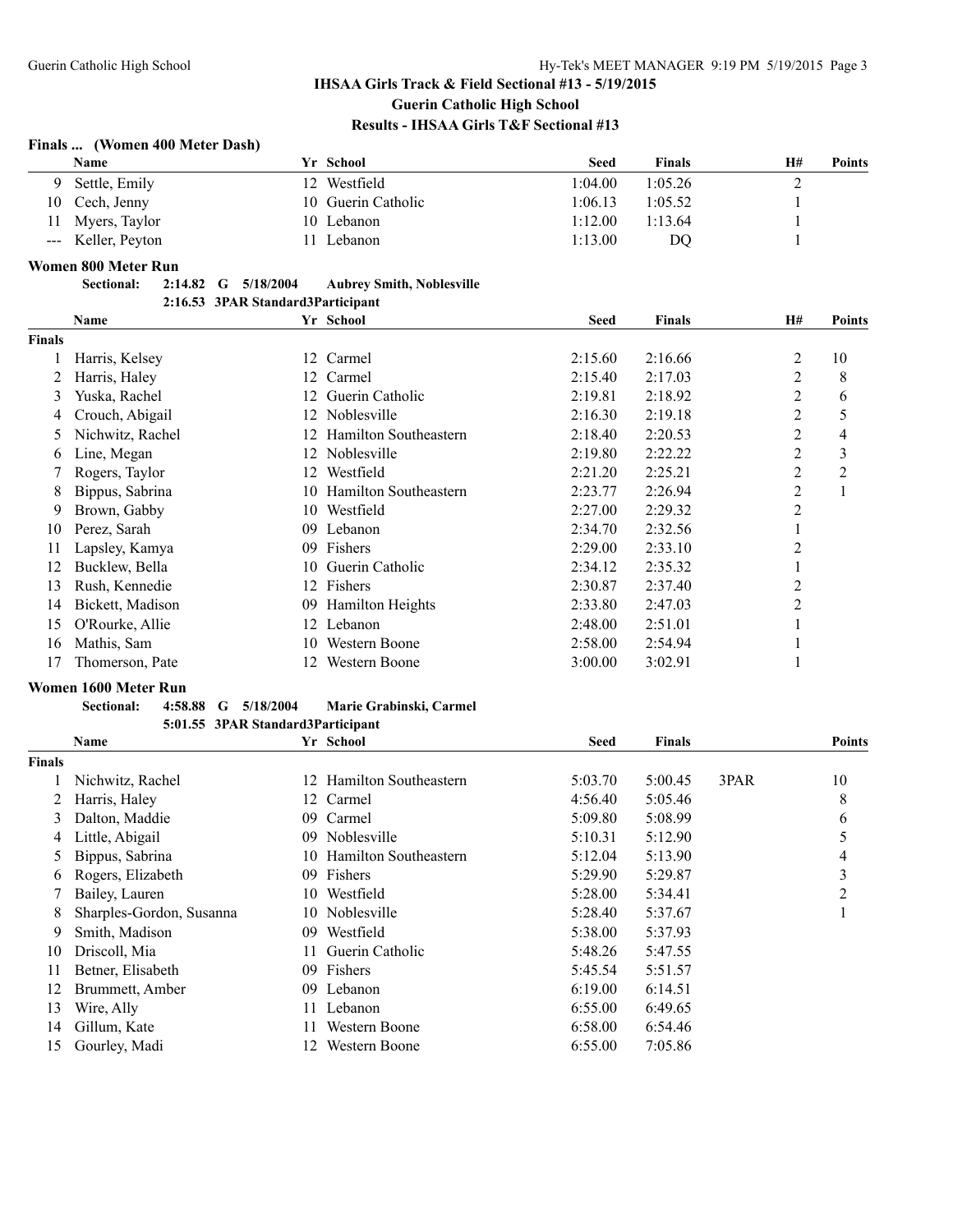## **Finals ... (Women 400 Meter Dash)**

| Name               | Yr School          | <b>Seed</b> | <b>Finals</b> | H#<br>Points |  |
|--------------------|--------------------|-------------|---------------|--------------|--|
| 9 Settle, Emily    | 12 Westfield       | 1:04.00     | 1:05.26       |              |  |
| 10 Cech, Jenny     | 10 Guerin Catholic | l:06.13     | 1:05.52       |              |  |
| 11 Myers, Taylor   | 10 Lebanon         | 1:12.00     | 1:13.64       |              |  |
| --- Keller, Peyton | Lebanon            | 1:13.00     | DO            |              |  |

#### **Women 800 Meter Run**

| <b>Sectional:</b> |  | 2:14.82 G 5/18/2004 | <b>Aubrey Smith, Noblesville</b>  |
|-------------------|--|---------------------|-----------------------------------|
|                   |  |                     | 2:16.53 3PAR Standard3Participant |

|               | <b>Name</b>      |     | Yr School                | <b>Seed</b> | <b>Finals</b> | <b>H#</b>      | <b>Points</b>  |
|---------------|------------------|-----|--------------------------|-------------|---------------|----------------|----------------|
| <b>Finals</b> |                  |     |                          |             |               |                |                |
|               | Harris, Kelsey   |     | 12 Carmel                | 2:15.60     | 2:16.66       | 2              | 10             |
|               | Harris, Haley    | 12  | Carmel                   | 2:15.40     | 2:17.03       | 2              | 8              |
| 3             | Yuska, Rachel    | 12. | Guerin Catholic          | 2:19.81     | 2:18.92       | 2              | 6              |
| 4             | Crouch, Abigail  | 12. | Noblesville              | 2:16.30     | 2:19.18       | 2              | 5              |
| 5             | Nichwitz, Rachel | 12  | Hamilton Southeastern    | 2:18.40     | 2:20.53       | 2              | 4              |
| b             | Line, Megan      | 12. | Noblesville              | 2:19.80     | 2:22.22       | 2              | 3              |
|               | Rogers, Taylor   | 12  | Westfield                | 2:21.20     | 2:25.21       | 2              | $\overline{c}$ |
| 8             | Bippus, Sabrina  |     | 10 Hamilton Southeastern | 2:23.77     | 2:26.94       | 2              |                |
| 9             | Brown, Gabby     | 10  | Westfield                | 2:27.00     | 2:29.32       | 2              |                |
| 10            | Perez, Sarah     | 09  | Lebanon                  | 2:34.70     | 2:32.56       |                |                |
| 11            | Lapsley, Kamya   | 09. | Fishers                  | 2:29.00     | 2:33.10       | $\overline{2}$ |                |
| 12            | Bucklew, Bella   | 10  | Guerin Catholic          | 2:34.12     | 2:35.32       |                |                |
| 13            | Rush, Kennedie   |     | 12 Fishers               | 2:30.87     | 2:37.40       | $\overline{2}$ |                |
| 14            | Bickett, Madison | 09. | <b>Hamilton Heights</b>  | 2:33.80     | 2:47.03       | 2              |                |
| 15            | O'Rourke, Allie  |     | 12 Lebanon               | 2:48.00     | 2:51.01       |                |                |
| 16            | Mathis, Sam      | 10  | Western Boone            | 2:58.00     | 2:54.94       |                |                |
| 17            | Thomerson, Pate  | 12. | Western Boone            | 3:00.00     | 3:02.91       |                |                |

#### **Women 1600 Meter Run**

|               | <b>Sectional:</b><br>4:58.88<br>G | 5/18/2004 | Marie Grabinski, Carmel  |         |               |      |               |
|---------------|-----------------------------------|-----------|--------------------------|---------|---------------|------|---------------|
|               | 5:01.55 3PAR Standard3Participant |           |                          |         |               |      |               |
|               | Name                              |           | Yr School                | Seed    | <b>Finals</b> |      | <b>Points</b> |
| <b>Finals</b> |                                   |           |                          |         |               |      |               |
|               | Nichwitz, Rachel                  |           | 12 Hamilton Southeastern | 5:03.70 | 5:00.45       | 3PAR | 10            |
| 2             | Harris, Haley                     |           | 12 Carmel                | 4:56.40 | 5:05.46       |      | 8             |
| 3             | Dalton, Maddie                    | 09        | Carmel                   | 5:09.80 | 5:08.99       |      | 6             |
| 4             | Little, Abigail                   | $^{09}$   | Noblesville              | 5:10.31 | 5:12.90       |      | 5             |
| 5             | Bippus, Sabrina                   |           | 10 Hamilton Southeastern | 5:12.04 | 5:13.90       |      | 4             |
| 6             | Rogers, Elizabeth                 | 09        | Fishers                  | 5:29.90 | 5:29.87       |      | 3             |
|               | Bailey, Lauren                    |           | 10 Westfield             | 5:28.00 | 5:34.41       |      | 2             |
| 8             | Sharples-Gordon, Susanna          |           | 10 Noblesville           | 5:28.40 | 5:37.67       |      |               |
| 9             | Smith, Madison                    | 09        | Westfield                | 5:38.00 | 5:37.93       |      |               |
| 10            | Driscoll, Mia                     |           | Guerin Catholic          | 5:48.26 | 5:47.55       |      |               |
| 11            | Betner, Elisabeth                 | 09        | Fishers                  | 5:45.54 | 5:51.57       |      |               |
| 12            | Brummett, Amber                   | 09        | Lebanon                  | 6:19.00 | 6:14.51       |      |               |
| 13            | Wire, Ally                        |           | Lebanon                  | 6:55.00 | 6:49.65       |      |               |

 Gillum, Kate 11 Western Boone 6:58.00 6:54.46 Gourley, Madi 12 Western Boone 6:55.00 7:05.86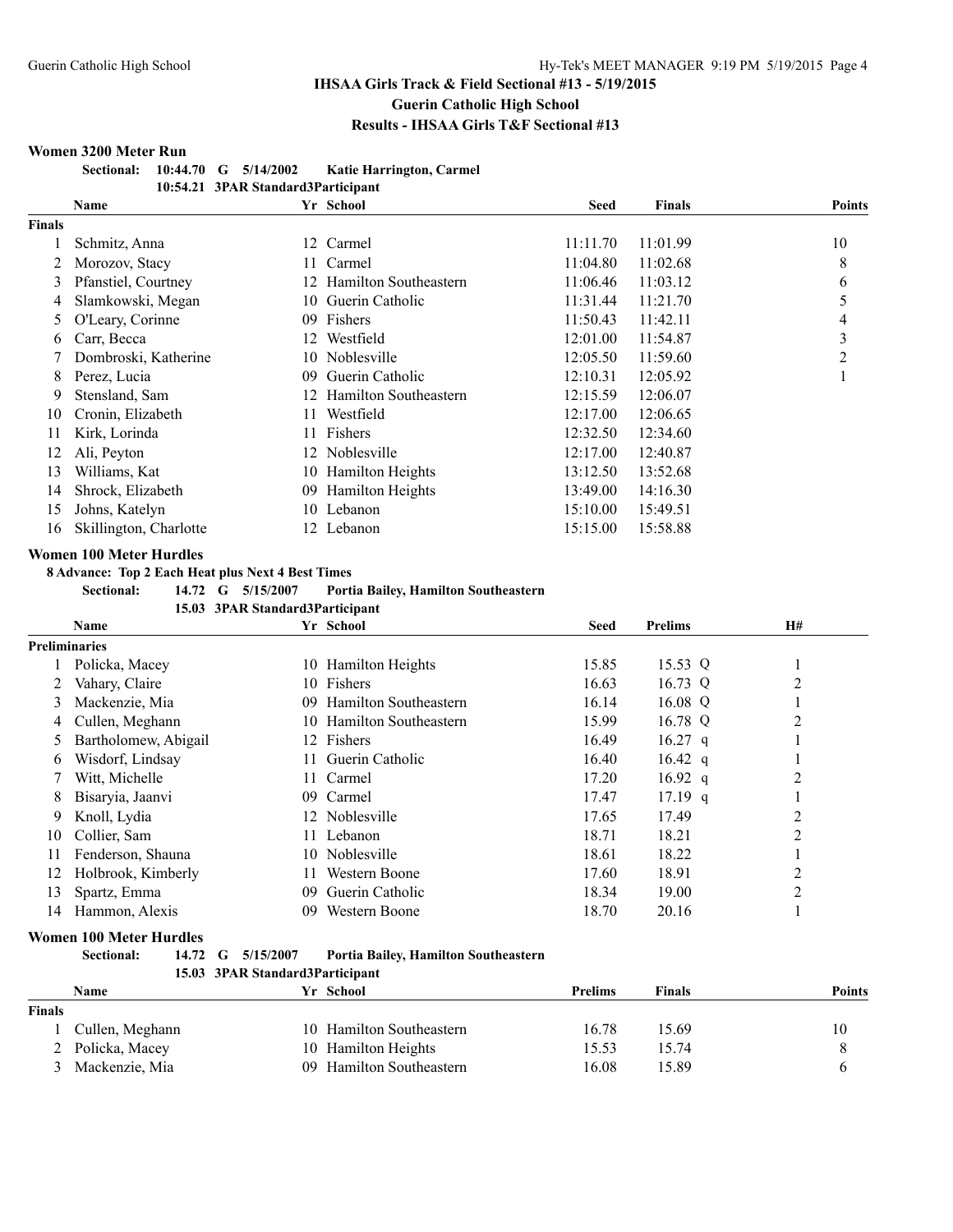#### **Women 3200 Meter Run**

| <b>Sectional:</b> |  | $10:44.70$ G $5/14/2002$ | <b>Katie Harrington, Carmel</b>    |
|-------------------|--|--------------------------|------------------------------------|
|                   |  |                          | 10:54.21 3PAR Standard3Participant |

|        | 10.0-1.21 - 01.11N Standardot al ticipant |    |                              |          |               |               |  |  |
|--------|-------------------------------------------|----|------------------------------|----------|---------------|---------------|--|--|
|        | Name                                      |    | Yr School                    | Seed     | <b>Finals</b> | <b>Points</b> |  |  |
| Finals |                                           |    |                              |          |               |               |  |  |
|        | Schmitz, Anna                             |    | 12 Carmel                    | 11:11.70 | 11:01.99      | 10            |  |  |
|        | Morozov, Stacy                            |    | Carmel                       | 11:04.80 | 11:02.68      | 8             |  |  |
| 3      | Pfanstiel, Courtney                       | 12 | <b>Hamilton Southeastern</b> | 11:06.46 | 11:03.12      | 6             |  |  |
| 4      | Slamkowski, Megan                         |    | 10 Guerin Catholic           | 11:31.44 | 11:21.70      | 5             |  |  |
| 5      | O'Leary, Corinne                          | 09 | Fishers                      | 11:50.43 | 11:42.11      | 4             |  |  |
| 6      | Carr, Becca                               | 12 | Westfield                    | 12:01.00 | 11:54.87      | 3             |  |  |
|        | Dombroski, Katherine                      | 10 | Noblesville                  | 12:05.50 | 11:59.60      | 2             |  |  |
| 8      | Perez, Lucia                              | 09 | Guerin Catholic              | 12:10.31 | 12:05.92      |               |  |  |
| 9      | Stensland, Sam                            | 12 | <b>Hamilton Southeastern</b> | 12:15.59 | 12:06.07      |               |  |  |
| 10     | Cronin, Elizabeth                         | 11 | Westfield                    | 12:17.00 | 12:06.65      |               |  |  |
| 11     | Kirk, Lorinda                             | 11 | Fishers                      | 12:32.50 | 12:34.60      |               |  |  |
| 12     | Ali, Peyton                               | 12 | Noblesville                  | 12:17.00 | 12:40.87      |               |  |  |
| 13     | Williams, Kat                             | 10 | Hamilton Heights             | 13:12.50 | 13:52.68      |               |  |  |
| 14     | Shrock, Elizabeth                         | 09 | Hamilton Heights             | 13:49.00 | 14:16.30      |               |  |  |
| 15     | Johns, Katelyn                            |    | 10 Lebanon                   | 15:10.00 | 15:49.51      |               |  |  |
| 16     | Skillington, Charlotte                    |    | 12 Lebanon                   | 15:15.00 | 15:58.88      |               |  |  |

#### **Women 100 Meter Hurdles**

**8 Advance: Top 2 Each Heat plus Next 4 Best Times**

|  | <b>Sectional:</b> |  |  | 14.72 G 5/15/2007 | Portia Bailey, Hamilton Southeastern |
|--|-------------------|--|--|-------------------|--------------------------------------|
|--|-------------------|--|--|-------------------|--------------------------------------|

**15.03 3PAR Standard3Participant**

|                      | Name                 | Yr School                          | <b>Seed</b> | <b>Prelims</b>    | <b>H#</b>      |
|----------------------|----------------------|------------------------------------|-------------|-------------------|----------------|
| <b>Preliminaries</b> |                      |                                    |             |                   |                |
|                      | Policka, Macey       | <b>Hamilton Heights</b><br>10      | 15.85       | 15.53 Q           |                |
|                      | Vahary, Claire       | Fishers<br>10.                     | 16.63       | 16.73 Q           | $\overline{c}$ |
| 3                    | Mackenzie, Mia       | Hamilton Southeastern<br>09.       | 16.14       | 16.08 Q           |                |
| 4                    | Cullen, Meghann      | <b>Hamilton Southeastern</b><br>10 | 15.99       | 16.78 Q           | 2              |
| 5                    | Bartholomew, Abigail | 12 Fishers                         | 16.49       | $16.27$ q         |                |
| 6                    | Wisdorf, Lindsay     | Guerin Catholic<br>11.             | 16.40       | $16.42 \text{ q}$ |                |
|                      | Witt, Michelle       | Carmel<br>11 -                     | 17.20       | $16.92$ q         | 2              |
| 8                    | Bisaryia, Jaanvi     | Carmel<br>09.                      | 17.47       | $17.19$ q         |                |
| 9                    | Knoll, Lydia         | 12 Noblesville                     | 17.65       | 17.49             | $\overline{2}$ |
| 10                   | Collier, Sam         | Lebanon<br>11.                     | 18.71       | 18.21             | $\overline{2}$ |
| 11                   | Fenderson, Shauna    | Noblesville<br>10.                 | 18.61       | 18.22             |                |
| 12                   | Holbrook, Kimberly   | Western Boone<br>11.               | 17.60       | 18.91             | $\overline{2}$ |
| 13                   | Spartz, Emma         | Guerin Catholic<br>09              | 18.34       | 19.00             | $\overline{2}$ |
| 14                   | Hammon, Alexis       | Western Boone<br>09                | 18.70       | 20.16             |                |

#### **Women 100 Meter Hurdles**

| <b>Sectional:</b> | 14.72 G 5/15/2007               | Portia Bailey, Hamilton Southeastern |
|-------------------|---------------------------------|--------------------------------------|
|                   | 15.03 3PAR Standard3Particinant |                                      |

| 15.05 STAN Stanuarusf articipalit |  |           |                                                                             |        |        |
|-----------------------------------|--|-----------|-----------------------------------------------------------------------------|--------|--------|
|                                   |  | Yr School | <b>Prelims</b>                                                              | Finals | Points |
|                                   |  |           |                                                                             |        |        |
| Cullen, Meghann                   |  |           | 16.78                                                                       | 15.69  | 10     |
| 2 Policka, Macey                  |  |           | 15.53                                                                       | 15.74  |        |
| Mackenzie, Mia                    |  |           | 16.08                                                                       | 15.89  |        |
|                                   |  |           | 10 Hamilton Southeastern<br>10 Hamilton Heights<br>09 Hamilton Southeastern |        |        |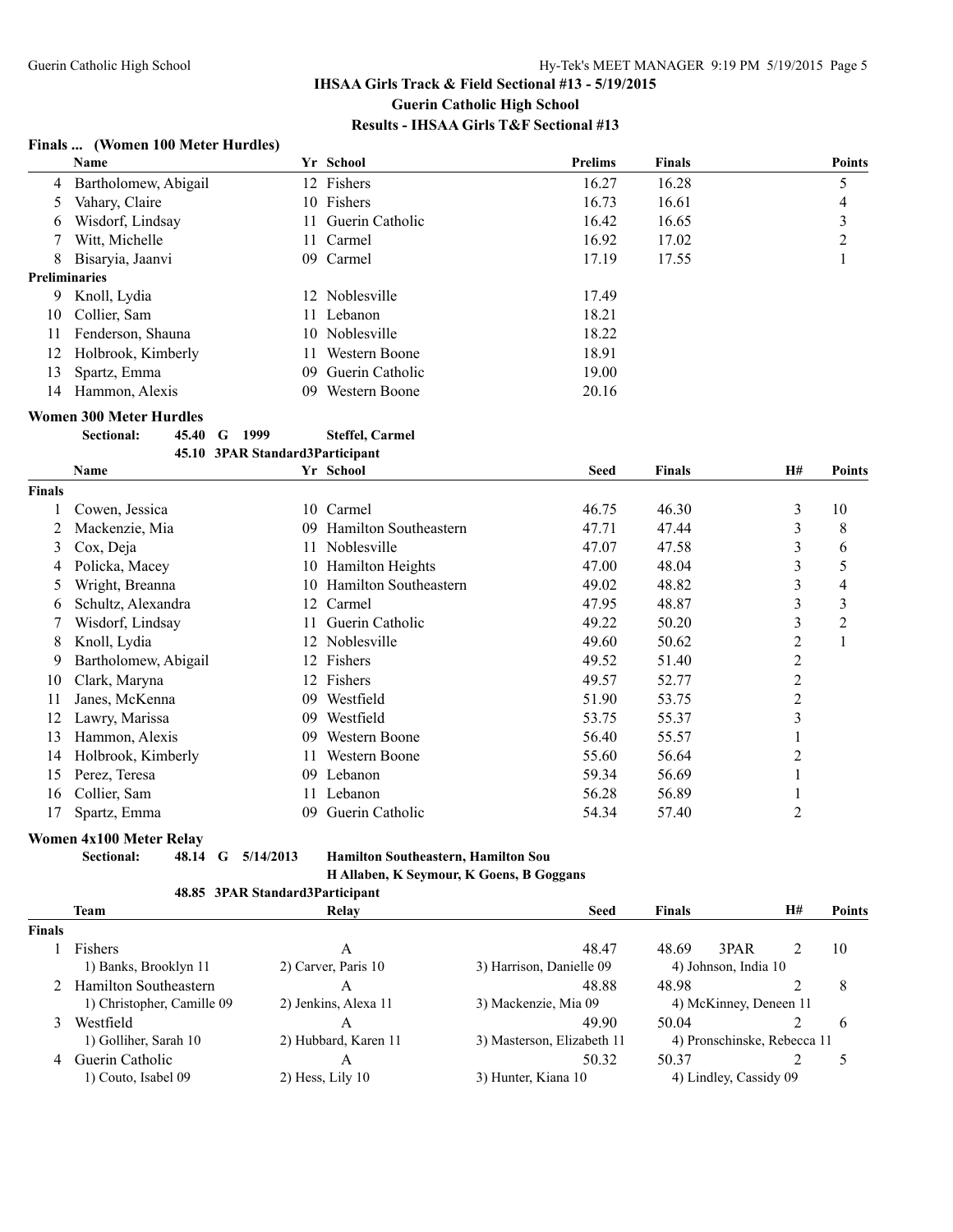## **Finals ... (Women 100 Meter Hurdles)**

|               | Name                             |     | Yr School                | <b>Prelims</b> | <b>Finals</b>     |              | <b>Points</b> |
|---------------|----------------------------------|-----|--------------------------|----------------|-------------------|--------------|---------------|
| 4             | Bartholomew, Abigail             |     | 12 Fishers               | 16.27          | 16.28             |              | 5             |
| 5             | Vahary, Claire                   |     | 10 Fishers               | 16.73          | 16.61             |              | 4             |
| 6             | Wisdorf, Lindsay                 | 11  | Guerin Catholic          | 16.42          | 16.65             |              | 3             |
|               | Witt, Michelle                   | 11. | Carmel                   | 16.92          | 17.02             |              | 2             |
| 8             | Bisaryia, Jaanvi                 | 09  | Carmel                   | 17.19          | 17.55             |              |               |
|               | <b>Preliminaries</b>             |     |                          |                |                   |              |               |
| 9             | Knoll, Lydia                     | 12  | Noblesville              | 17.49          |                   |              |               |
| 10            | Collier, Sam                     | 11. | Lebanon                  | 18.21          |                   |              |               |
| 11            | Fenderson, Shauna                | 10  | Noblesville              | 18.22          |                   |              |               |
| 12            | Holbrook, Kimberly               | 11  | Western Boone            | 18.91          |                   |              |               |
| 13            | Spartz, Emma                     | 09  | Guerin Catholic          | 19.00          |                   |              |               |
| 14            | Hammon, Alexis                   | 09  | Western Boone            | 20.16          |                   |              |               |
|               | <b>Women 300 Meter Hurdles</b>   |     |                          |                |                   |              |               |
|               | Sectional:<br>45.40<br>1999<br>G |     | <b>Steffel, Carmel</b>   |                |                   |              |               |
|               | 45.10 3PAR Standard3Participant  |     |                          |                |                   |              |               |
|               | Name                             |     | Yr School                | <b>Seed</b>    | <b>Finals</b>     | <b>H#</b>    | <b>Points</b> |
| <b>Finals</b> |                                  |     |                          |                |                   |              |               |
|               | Cowen, Jessica                   | 10  | Carmel                   | 46.75          | 46.30             | 3            | 10            |
| 2             | Mackenzie Mia                    |     | 09 Hamilton Southeastern | 4771           | 47 A <sub>4</sub> | $\mathbf{a}$ | $\mathbf{Q}$  |

| inals         |                      |     |                              |       |       |   |    |
|---------------|----------------------|-----|------------------------------|-------|-------|---|----|
|               | Cowen, Jessica       | 10. | Carmel                       | 46.75 | 46.30 | 3 | 10 |
| 2             | Mackenzie, Mia       | 09  | Hamilton Southeastern        | 47.71 | 47.44 | 3 | 8  |
| 3             | Cox, Deja            | 11  | Noblesville                  | 47.07 | 47.58 | 3 | 6  |
|               | Policka, Macey       | 10  | <b>Hamilton Heights</b>      | 47.00 | 48.04 | 3 | 5  |
| $\mathcal{D}$ | Wright, Breanna      | 10  | <b>Hamilton Southeastern</b> | 49.02 | 48.82 | 3 | 4  |
| b             | Schultz, Alexandra   | 12  | Carmel                       | 47.95 | 48.87 | 3 | 3  |
|               | Wisdorf, Lindsay     |     | Guerin Catholic              | 49.22 | 50.20 | 3 |    |
| 8             | Knoll, Lydia         | 12  | Noblesville                  | 49.60 | 50.62 | 2 |    |
| 9             | Bartholomew, Abigail | 12  | Fishers                      | 49.52 | 51.40 | 2 |    |
| 10            | Clark, Maryna        | 12  | Fishers                      | 49.57 | 52.77 | 2 |    |
|               | Janes, McKenna       | 09  | Westfield                    | 51.90 | 53.75 | 2 |    |
| 12            | Lawry, Marissa       | 09  | Westfield                    | 53.75 | 55.37 | 3 |    |
| 13            | Hammon, Alexis       | 09  | Western Boone                | 56.40 | 55.57 |   |    |
| 14            | Holbrook, Kimberly   | 11  | Western Boone                | 55.60 | 56.64 | 2 |    |
| 15            | Perez, Teresa        | 09  | Lebanon                      | 59.34 | 56.69 |   |    |
| 16            | Collier, Sam         | 11  | Lebanon                      | 56.28 | 56.89 |   |    |
| 17            | Spartz, Emma         | 09  | Guerin Catholic              | 54.34 | 57.40 | 2 |    |
|               |                      |     |                              |       |       |   |    |

# **Women 4x100 Meter Relay**<br>Sectional: 48.14 G 5/14/2013

**Sectional: 48.14 G 5/14/2013 Hamilton Southeastern, Hamilton Sou H Allaben, K Seymour, K Goens, B Goggans**

#### **48.85 3PAR Standard3Participant**

|                                              | <b>Team</b>                                        | Relay                    | <b>Seed</b>                | <b>Finals</b>          |                             | <b>H#</b> | Points        |
|----------------------------------------------|----------------------------------------------------|--------------------------|----------------------------|------------------------|-----------------------------|-----------|---------------|
| Finals                                       |                                                    |                          |                            |                        |                             |           |               |
|                                              | Fishers                                            | А                        | 48.47                      | 48.69                  | 3PAR                        |           | 10            |
| 2) Carver, Paris 10<br>1) Banks, Brooklyn 11 |                                                    | 3) Harrison, Danielle 09 |                            | 4) Johnson, India 10   |                             |           |               |
|                                              | 2 Hamilton Southeastern                            | A                        | 48.88                      | 48.98                  |                             |           | 8             |
|                                              | 1) Christopher, Camille 09<br>2) Jenkins, Alexa 11 |                          | 3) Mackenzie, Mia 09       | 4) McKinney, Deneen 11 |                             |           |               |
|                                              | Westfield                                          | А                        | 49.90                      | 50.04                  |                             |           | $\mathfrak b$ |
|                                              | 1) Golliher, Sarah 10                              | 2) Hubbard, Karen 11     | 3) Masterson, Elizabeth 11 |                        | 4) Pronschinske, Rebecca 11 |           |               |
| 4                                            | Guerin Catholic                                    |                          | 50.32                      | 50.37                  |                             |           |               |
|                                              | 1) Couto, Isabel 09                                | $2)$ Hess, Lily 10       | 3) Hunter, Kiana 10        |                        | 4) Lindley, Cassidy 09      |           |               |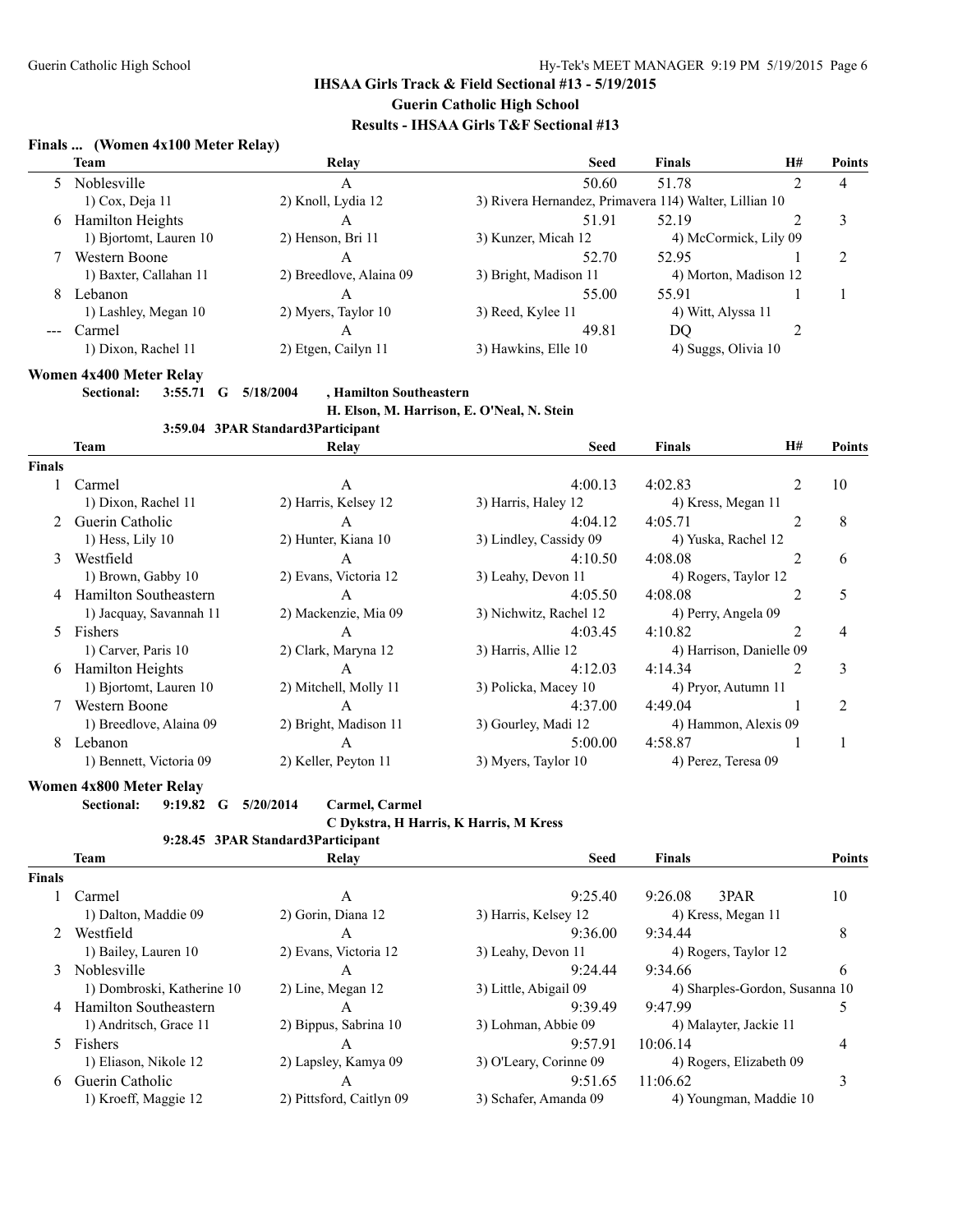## **Finals ... (Women 4x100 Meter Relay)**

|   | Team                    | Relay                   | <b>Seed</b>                                            | <b>Finals</b>       | H#                    | <b>Points</b> |
|---|-------------------------|-------------------------|--------------------------------------------------------|---------------------|-----------------------|---------------|
|   | Noblesville             | А                       | 50.60                                                  | 51.78               |                       | 4             |
|   | $1)$ Cox, Deja $11$     | 2) Knoll, Lydia 12      | 3) Rivera Hernandez, Primavera 114) Walter, Lillian 10 |                     |                       |               |
| 6 | <b>Hamilton Heights</b> | A                       | 51.91                                                  | 52.19               |                       | 3             |
|   | 1) Bjortomt, Lauren 10  | 2) Henson, Bri 11       | 3) Kunzer, Micah 12                                    |                     | 4) McCormick, Lily 09 |               |
|   | Western Boone           | A                       | 52.70                                                  | 52.95               |                       |               |
|   | 1) Baxter, Callahan 11  | 2) Breedlove, Alaina 09 | 3) Bright, Madison 11                                  |                     | 4) Morton, Madison 12 |               |
| 8 | Lebanon                 | A                       | 55.00                                                  | 55.91               |                       |               |
|   | 1) Lashley, Megan 10    | 2) Myers, Taylor 10     | 3) Reed, Kylee 11                                      | 4) Witt, Alyssa 11  |                       |               |
|   | Carmel                  | A                       | 49.81                                                  | DO                  |                       |               |
|   | 1) Dixon, Rachel 11     | 2) Etgen, Cailyn 11     | 3) Hawkins, Elle 10                                    | 4) Suggs, Olivia 10 |                       |               |

#### **Women 4x400 Meter Relay**

#### **Sectional: 3:55.71 G 5/18/2004 , Hamilton Southeastern**

**H. Elson, M. Harrison, E. O'Neal, N. Stein 3:59.04 3PAR Standard3Participant**

|               |                              | 3:39.04 STAN Standard of articipant |                        |                      |                          |                |
|---------------|------------------------------|-------------------------------------|------------------------|----------------------|--------------------------|----------------|
|               | Team                         | Relay                               | <b>Seed</b>            | <b>Finals</b>        | <b>H#</b>                | Points         |
| <b>Finals</b> |                              |                                     |                        |                      |                          |                |
|               | Carmel                       | A                                   | 4:00.13                | 4:02.83              | 2                        | 10             |
|               | 1) Dixon, Rachel 11          | 2) Harris, Kelsey 12                | 3) Harris, Haley 12    | 4) Kress, Megan 11   |                          |                |
|               | Guerin Catholic              | A                                   | 4:04.12                | 4:05.71              | $\overline{c}$           | 8              |
|               | $1)$ Hess, Lily $10$         | 2) Hunter, Kiana 10                 | 3) Lindley, Cassidy 09 | 4) Yuska, Rachel 12  |                          |                |
| 3             | Westfield                    | A                                   | 4:10.50                | 4:08.08              | $\overline{c}$           | 6              |
|               | 1) Brown, Gabby 10           | 2) Evans, Victoria 12               | 3) Leahy, Devon 11     | 4) Rogers, Taylor 12 |                          |                |
| 4             | <b>Hamilton Southeastern</b> | A                                   | 4:05.50                | 4:08.08              | 2                        | 5              |
|               | 1) Jacquay, Savannah 11      | 2) Mackenzie, Mia 09                | 3) Nichwitz, Rachel 12 | 4) Perry, Angela 09  |                          |                |
| 5.            | Fishers                      | A                                   | 4:03.45                | 4:10.82              | $\overline{c}$           | 4              |
|               | 1) Carver, Paris 10          | 2) Clark, Maryna 12                 | 3) Harris, Allie 12    |                      | 4) Harrison, Danielle 09 |                |
| 6             | Hamilton Heights             | A                                   | 4:12.03                | 4:14.34              |                          | 3              |
|               | 1) Bjortomt, Lauren 10       | 2) Mitchell, Molly 11               | 3) Policka, Macey 10   | 4) Pryor, Autumn 11  |                          |                |
|               | Western Boone                | A                                   | 4:37.00                | 4:49.04              |                          | $\overline{c}$ |
|               | 1) Breedlove, Alaina 09      | 2) Bright, Madison 11               | 3) Gourley, Madi 12    | 4) Hammon, Alexis 09 |                          |                |
| 8             | Lebanon                      | A                                   | 5:00.00                | 4:58.87              |                          |                |
|               | 1) Bennett, Victoria 09      | 2) Keller, Peyton 11                | 3) Myers, Taylor 10    | 4) Perez, Teresa 09  |                          |                |
|               |                              |                                     |                        |                      |                          |                |

#### **Women 4x800 Meter Relay**

**Sectional: 9:19.82 G 5/20/2014 Carmel, Carmel**

#### **C Dykstra, H Harris, K Harris, M Kress**

|               |                            | 9:28.45 3PAR Standard3Participant |                        |                                |        |
|---------------|----------------------------|-----------------------------------|------------------------|--------------------------------|--------|
|               | <b>Team</b>                | Relay                             | <b>Seed</b>            | <b>Finals</b>                  | Points |
| <b>Finals</b> |                            |                                   |                        |                                |        |
|               | Carmel                     | A                                 | 9:25.40                | 9:26.08<br>3PAR                | 10     |
|               | 1) Dalton, Maddie 09       | 2) Gorin, Diana 12                | 3) Harris, Kelsey 12   | 4) Kress, Megan 11             |        |
| $2^{\circ}$   | Westfield                  | А                                 | 9:36.00                | 9:34.44                        | 8      |
|               | 1) Bailey, Lauren 10       | 2) Evans, Victoria 12             | 3) Leahy, Devon 11     | 4) Rogers, Taylor 12           |        |
| $\mathcal{E}$ | <b>Noblesville</b>         | A                                 | 9:24.44                | 9:34.66                        | 6      |
|               | 1) Dombroski, Katherine 10 | 2) Line, Megan 12                 | 3) Little, Abigail 09  | 4) Sharples-Gordon, Susanna 10 |        |
|               | 4 Hamilton Southeastern    | A                                 | 9:39.49                | 9:47.99                        |        |
|               | 1) Andritsch, Grace 11     | 2) Bippus, Sabrina 10             | 3) Lohman, Abbie 09    | 4) Malayter, Jackie 11         |        |
| 5             | <b>Fishers</b>             | A                                 | 9:57.91                | 10:06.14                       | 4      |
|               | 1) Eliason, Nikole 12      | 2) Lapsley, Kamya 09              | 3) O'Leary, Corinne 09 | 4) Rogers, Elizabeth 09        |        |
| 6.            | Guerin Catholic            | A                                 | 9:51.65                | 11:06.62                       | 3      |
|               | 1) Kroeff, Maggie 12       | 2) Pittsford, Caitlyn 09          | 3) Schafer, Amanda 09  | 4) Youngman, Maddie 10         |        |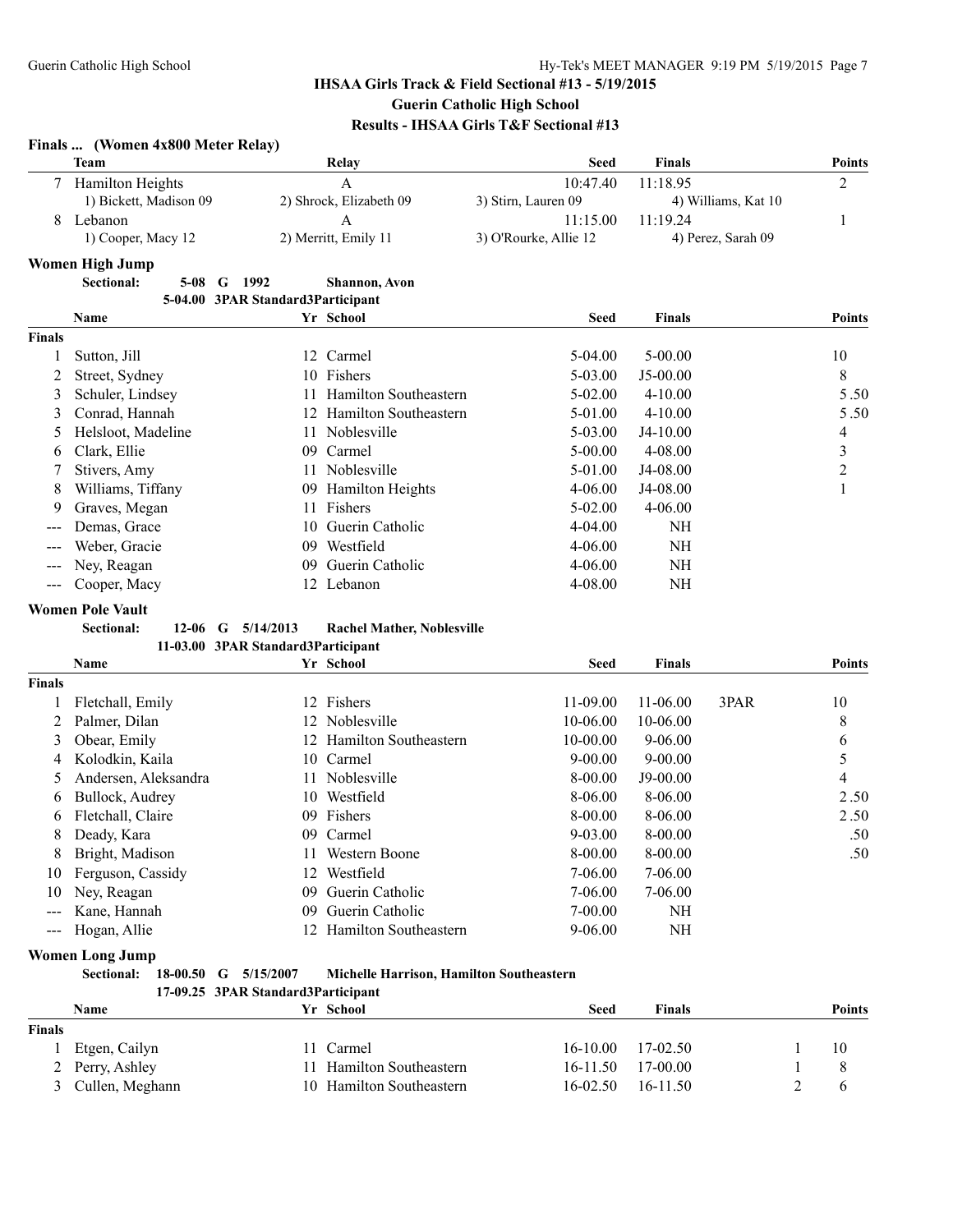## **Finals ... (Women 4x800 Meter Relay)**

|               | тинав  ( тошен тлобо висил тенат |                                   |                              |                       |                     |                |
|---------------|----------------------------------|-----------------------------------|------------------------------|-----------------------|---------------------|----------------|
|               | <b>Team</b>                      |                                   | Relay                        | <b>Seed</b>           | <b>Finals</b>       | <b>Points</b>  |
|               | Hamilton Heights                 |                                   | A                            | 10:47.40              | 11:18.95            | 2              |
|               | 1) Bickett, Madison 09           |                                   | 2) Shrock, Elizabeth 09      | 3) Stirn, Lauren 09   | 4) Williams, Kat 10 |                |
| 8             | Lebanon                          |                                   | A                            | 11:15.00              | 11:19.24            |                |
|               | 1) Cooper, Macy 12               |                                   | 2) Merritt, Emily 11         | 3) O'Rourke, Allie 12 | 4) Perez, Sarah 09  |                |
|               | <b>Women High Jump</b>           |                                   |                              |                       |                     |                |
|               | <b>Sectional:</b><br>$5-08$<br>G | 1992                              | <b>Shannon</b> , Avon        |                       |                     |                |
|               |                                  | 5-04.00 3PAR Standard3Participant |                              |                       |                     |                |
|               | <b>Name</b>                      |                                   | Yr School                    | <b>Seed</b>           | <b>Finals</b>       | <b>Points</b>  |
| <b>Finals</b> |                                  |                                   |                              |                       |                     |                |
|               | Sutton, Jill                     | 12                                | Carmel                       | 5-04.00               | 5-00.00             | 10             |
|               | Street, Sydney                   | 10                                | Fishers                      | 5-03.00               | J5-00.00            | 8              |
| 3             | Schuler, Lindsey                 |                                   | Hamilton Southeastern        | $5-02.00$             | $4 - 10.00$         | 5.50           |
| 3             | Conrad, Hannah                   | 12                                | <b>Hamilton Southeastern</b> | 5-01.00               | $4 - 10.00$         | 5.50           |
| 5             | Helsloot, Madeline               | 11                                | Noblesville                  | 5-03.00               | J4-10.00            | 4              |
| 6             | Clark, Ellie                     | 09                                | Carmel                       | $5 - 00.00$           | 4-08.00             | 3              |
|               | Stivers, Amy                     |                                   | Noblesville                  | 5-01.00               | J4-08.00            | $\overline{2}$ |
| 8             | Williams, Tiffany                | 09                                | Hamilton Heights             | 4-06.00               | J4-08.00            |                |
| 9             | Graves, Megan                    | 11                                | Fishers                      | $5-02.00$             | $4 - 06.00$         |                |
| ---           | Demas, Grace                     | 10                                | Guerin Catholic              | 4-04.00               | NH                  |                |
| ---           | Weber, Gracie                    | 09                                | Westfield                    | $4 - 06.00$           | NH                  |                |
| ---           | Ney, Reagan                      | 09                                | Guerin Catholic              | $4 - 06.00$           | <b>NH</b>           |                |
| ---           | Cooper, Macy                     |                                   | 12 Lebanon                   | 4-08.00               | NH                  |                |

#### **Women Pole Vault**

**Sectional: 12-06 G 5/14/2013 Rachel Mather, Noblesville**

|               | Name                 |    | Yr School                    | <b>Seed</b>  | <b>Finals</b> |      | <b>Points</b> |
|---------------|----------------------|----|------------------------------|--------------|---------------|------|---------------|
| Finals        |                      |    |                              |              |               |      |               |
|               | Fletchall, Emily     | 12 | Fishers                      | $11 - 09.00$ | 11-06.00      | 3PAR | 10            |
|               | Palmer, Dilan        | 12 | Noblesville                  | 10-06.00     | 10-06.00      |      | 8             |
| 3             | Obear, Emily         | 12 | <b>Hamilton Southeastern</b> | $10 - 00.00$ | $9 - 06.00$   |      | 6             |
| 4             | Kolodkin, Kaila      |    | 10 Carmel                    | $9 - 00.00$  | $9 - 00.00$   |      |               |
| 5             | Andersen, Aleksandra |    | Noblesville                  | 8-00.00      | $J9-00.00$    |      | 4             |
| 6             | Bullock, Audrey      | 10 | Westfield                    | 8-06.00      | 8-06.00       |      | 2.50          |
| 6             | Fletchall, Claire    | 09 | Fishers                      | 8-00.00      | 8-06.00       |      | 2.50          |
| 8             | Deady, Kara          | 09 | Carmel                       | $9 - 03.00$  | 8-00.00       |      | .50           |
| 8             | Bright, Madison      |    | Western Boone                | $8-00.00$    | 8-00.00       |      | .50           |
| 10            | Ferguson, Cassidy    | 12 | Westfield                    | 7-06.00      | 7-06.00       |      |               |
| 10            | Ney, Reagan          | 09 | Guerin Catholic              | 7-06.00      | 7-06.00       |      |               |
|               | Kane, Hannah         | 09 | Guerin Catholic              | 7-00.00      | NH            |      |               |
| $\frac{1}{2}$ | Hogan, Allie         |    | <b>Hamilton Southeastern</b> | $9 - 06.00$  | NH            |      |               |

#### **Women Long Jump**

|  |  |  | Sectional: 18-00.50 G 5/15/2007 | <b>Michelle Harrison, Hamilton Southeastern</b> |
|--|--|--|---------------------------------|-------------------------------------------------|
|--|--|--|---------------------------------|-------------------------------------------------|

## **17-09.25 3PAR Standard3Participant**

|               | Name              | Yr School                | <b>Seed</b>  | <b>Finals</b> | <b>Points</b> |
|---------------|-------------------|--------------------------|--------------|---------------|---------------|
| <b>Finals</b> |                   |                          |              |               |               |
|               | Etgen, Cailyn     | 11 Carmel                | 16-10.00     | 17-02.50      | 10            |
|               | 2 Perry, Ashley   | 11 Hamilton Southeastern | $16 - 11.50$ | 17-00 00      |               |
|               | 3 Cullen, Meghann | 10 Hamilton Southeastern | $16 - 02.50$ | $16 - 11.50$  |               |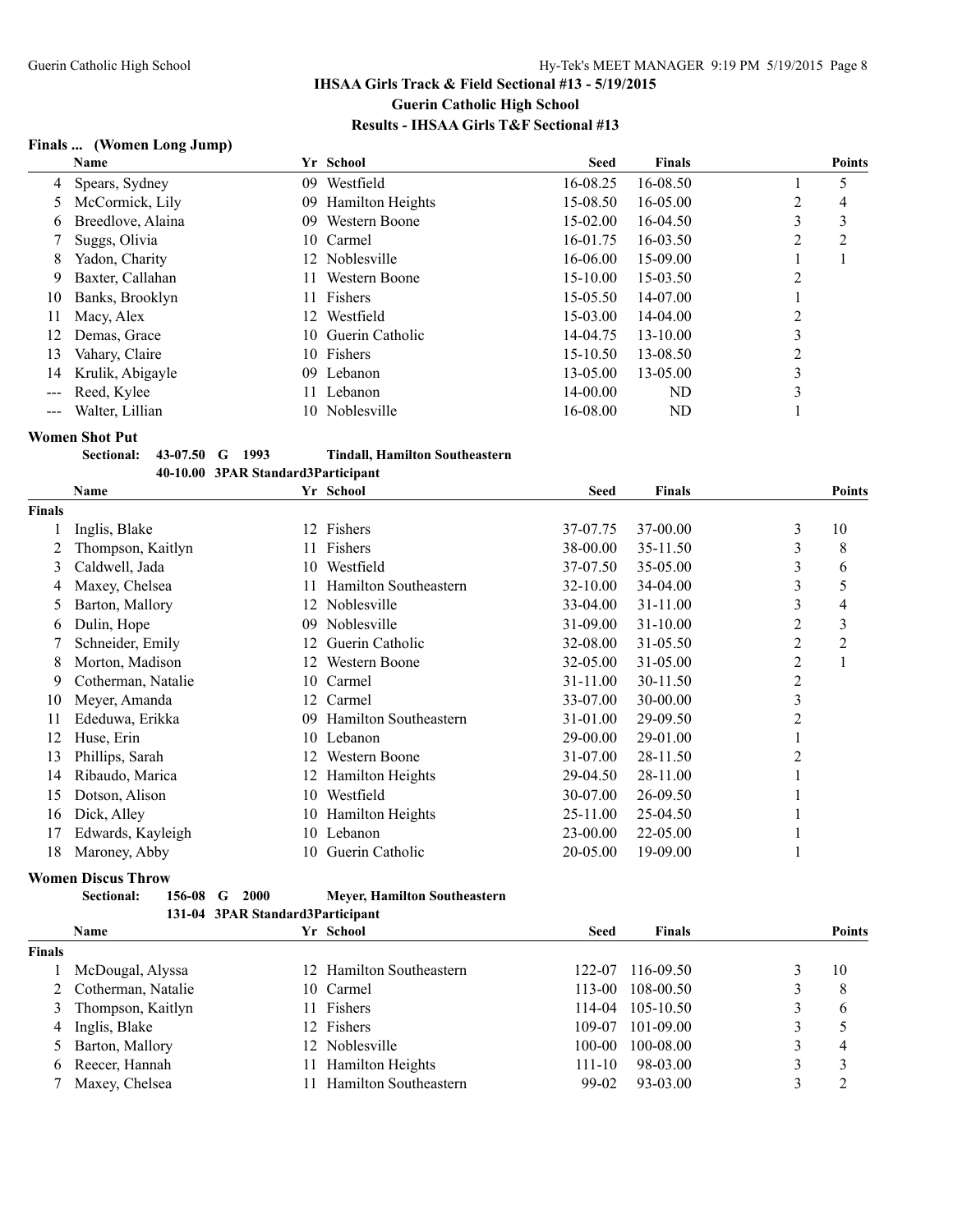## **Finals ... (Women Long Jump)**

| Name              | Yr School                     | <b>Seed</b>  | <b>Finals</b> |        |               |
|-------------------|-------------------------------|--------------|---------------|--------|---------------|
|                   | Westfield<br>09               | 16-08.25     | 16-08.50      | 5      |               |
| McCormick, Lily   | <b>Hamilton Heights</b><br>09 | 15-08.50     | 16-05.00      | 2<br>4 |               |
| Breedlove, Alaina | Western Boone<br>09.          | 15-02.00     | 16-04.50      | 3<br>3 |               |
| Suggs, Olivia     | 10 Carmel                     | 16-01.75     | 16-03.50      | 2<br>2 |               |
| Yadon, Charity    | 12 Noblesville                | 16-06.00     | 15-09.00      |        |               |
| Baxter, Callahan  | Western Boone<br>11.          | $15 - 10.00$ | $15 - 03.50$  | 2      |               |
| Banks, Brooklyn   | Fishers<br>11.                | 15-05.50     | 14-07.00      |        |               |
| Macy, Alex        | Westfield<br>12               | 15-03.00     | $14 - 04.00$  | 2      |               |
| Demas, Grace      | 10 Guerin Catholic            | 14-04.75     | $13 - 10.00$  | 3      |               |
| Vahary, Claire    | Fishers<br>10                 | 15-10.50     | 13-08.50      | 2      |               |
| Krulik, Abigayle  | Lebanon<br>09 <sup>°</sup>    | 13-05.00     | 13-05.00      | 3      |               |
| Reed, Kylee       | Lebanon                       | $14 - 00.00$ | ND            | 3      |               |
| Walter, Lillian   | Noblesville<br>10.            | 16-08.00     | ND            |        |               |
| 8                 | 4 Spears, Sydney<br>6         |              |               |        | <b>Points</b> |

**Women Shot Put**

| <b>Sectional: 43-07.50 G</b> |  | -1993 | <b>Tindall, Hamilton Southeastern</b> |
|------------------------------|--|-------|---------------------------------------|
|                              |  |       | 40-10.00 3PAR Standard3Participant    |

|        | Name               |    | Yr School                    | <b>Seed</b>  | <b>Finals</b> |   | <b>Points</b>  |
|--------|--------------------|----|------------------------------|--------------|---------------|---|----------------|
| Finals |                    |    |                              |              |               |   |                |
|        | Inglis, Blake      | 12 | Fishers                      | 37-07.75     | 37-00.00      | 3 | 10             |
|        | Thompson, Kaitlyn  |    | Fishers                      | 38-00.00     | 35-11.50      | 3 | 8              |
| 3      | Caldwell, Jada     | 10 | Westfield                    | 37-07.50     | 35-05.00      | 3 | 6              |
| 4      | Maxey, Chelsea     |    | <b>Hamilton Southeastern</b> | $32 - 10.00$ | 34-04.00      | 3 | 5              |
| 5      | Barton, Mallory    | 12 | Noblesville                  | $33-04.00$   | 31-11.00      | 3 | 4              |
| 6      | Dulin, Hope        | 09 | Noblesville                  | 31-09.00     | 31-10.00      | 2 | 3              |
|        | Schneider, Emily   | 12 | Guerin Catholic              | 32-08.00     | 31-05.50      | 2 | $\overline{c}$ |
| 8      | Morton, Madison    | 12 | Western Boone                | 32-05.00     | 31-05.00      | 2 |                |
| 9      | Cotherman, Natalie | 10 | Carmel                       | 31-11.00     | 30-11.50      | 2 |                |
| 10     | Meyer, Amanda      | 12 | Carmel                       | 33-07.00     | 30-00.00      | 3 |                |
| 11     | Ededuwa, Erikka    | 09 | Hamilton Southeastern        | 31-01.00     | 29-09.50      | 2 |                |
| 12     | Huse, Erin         | 10 | Lebanon                      | 29-00.00     | 29-01.00      |   |                |
| 13     | Phillips, Sarah    | 12 | Western Boone                | 31-07.00     | 28-11.50      | 2 |                |
| 14     | Ribaudo, Marica    | 12 | Hamilton Heights             | 29-04.50     | 28-11.00      |   |                |
| 15     | Dotson, Alison     | 10 | Westfield                    | 30-07.00     | 26-09.50      |   |                |
| 16     | Dick, Alley        | 10 | Hamilton Heights             | 25-11.00     | 25-04.50      |   |                |
| 17     | Edwards, Kayleigh  | 10 | Lebanon                      | 23-00.00     | 22-05.00      |   |                |
| 18     | Maroney, Abby      | 10 | Guerin Catholic              | 20-05.00     | 19-09.00      |   |                |

#### **Women Discus Throw**

| <b>Sectional:</b> | $156-08$ G $2000$ | Meyer, Hamilton Southeastern     |
|-------------------|-------------------|----------------------------------|
|                   |                   | 131-04 3PAR Standard3Particinant |

|               | Name                 |     | Yr School                    | <b>Seed</b> | <b>Finals</b>    |   | <b>Points</b> |
|---------------|----------------------|-----|------------------------------|-------------|------------------|---|---------------|
| <b>Finals</b> |                      |     |                              |             |                  |   |               |
|               | McDougal, Alyssa     |     | 12 Hamilton Southeastern     | 122-07      | 116-09.50        |   | 10            |
|               | 2 Cotherman, Natalie |     | 10 Carmel                    | 113-00      | 108-00.50        |   | 8             |
|               | Thompson, Kaitlyn    |     | 11 Fishers                   |             | 114-04 105-10.50 | 3 | 6             |
| 4             | Inglis, Blake        |     | 12 Fishers                   |             | 109-07 101-09.00 |   |               |
|               | 5 Barton, Mallory    |     | 12 Noblesville               | 100-00      | 100-08.00        | 3 | 4             |
| 6             | Reecer, Hannah       | 11. | <b>Hamilton Heights</b>      | $111 - 10$  | 98-03.00         |   |               |
|               | Maxey, Chelsea       |     | <b>Hamilton Southeastern</b> | 99-02       | 93-03.00         |   |               |
|               |                      |     |                              |             |                  |   |               |